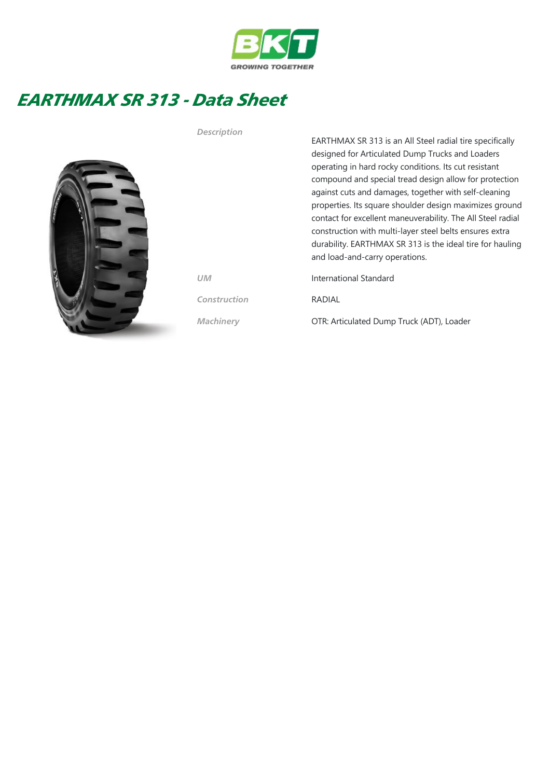

## EARTHMAX SR 313 - Data Sheet



EARTHMAX SR 313 is an All Steel radial tire specifically designed for Articulated Dump Trucks and Loaders operating in hard rocky conditions. Its cut resistant compound and special tread design allow for protection against cuts and damages, together with self‐cleaning properties. Its square shoulder design maximizes ground contact for excellent maneuverability. The All Steel radial construction with multi‐layer steel belts ensures extra durability. EARTHMAX SR 313 is the ideal tire for hauling and load‐and‐carry operations. UM International Standard Construction RADIAL

Machinery **OTR: Articulated Dump Truck (ADT), Loader** 

Description